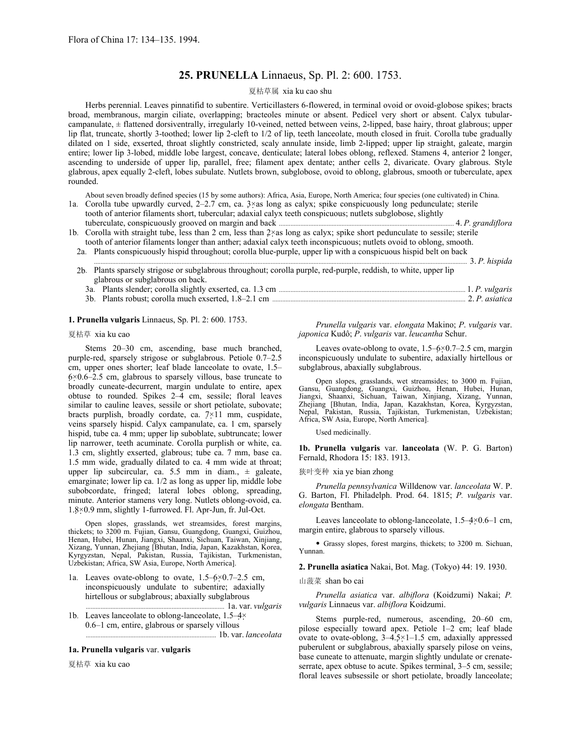# **25. PRUNELLA** Linnaeus, Sp. Pl. 2: 600. 1753.

### 夏枯草属 xia ku cao shu

Herbs perennial. Leaves pinnatifid to subentire. Verticillasters 6-flowered, in terminal ovoid or ovoid-globose spikes; bracts broad, membranous, margin ciliate, overlapping; bracteoles minute or absent. Pedicel very short or absent. Calyx tubularcampanulate, ± flattened dorsiventrally, irregularly 10-veined, netted between veins, 2-lipped, base hairy, throat glabrous; upper lip flat, truncate, shortly 3-toothed; lower lip 2-cleft to 1/2 of lip, teeth lanceolate, mouth closed in fruit. Corolla tube gradually dilated on 1 side, exserted, throat slightly constricted, scaly annulate inside, limb 2-lipped; upper lip straight, galeate, margin entire; lower lip 3-lobed, middle lobe largest, concave, denticulate; lateral lobes oblong, reflexed. Stamens 4, anterior 2 longer, ascending to underside of upper lip, parallel, free; filament apex dentate; anther cells 2, divaricate. Ovary glabrous. Style glabrous, apex equally 2-cleft, lobes subulate. Nutlets brown, subglobose, ovoid to oblong, glabrous, smooth or tuberculate, apex rounded.

About seven broadly defined species (15 by some authors): Africa, Asia, Europe, North America; four species (one cultivated) in China. 1a. Corolla tube upwardly curved, 2–2.7 cm, ca. 3×as long as calyx; spike conspicuously long pedunculate; sterile

- tooth of anterior filaments short, tubercular; adaxial calyx teeth conspicuous; nutlets subglobose, slightly
- tuberculate, conspicuously grooved on margin and back .......................................................................................................... 4. *P. grandiflora* 1b. Corolla with straight tube, less than 2 cm, less than 2×as long as calyx; spike short pedunculate to sessile; sterile

tooth of anterior filaments longer than anther; adaxial calyx teeth inconspicuous; nutlets ovoid to oblong, smooth.

2a. Plants conspicuously hispid throughout; corolla blue-purple, upper lip with a conspicuous hispid belt on back ... 3. P. hispida

2b. Plants sparsely strigose or subglabrous throughout; corolla purple, red-purple, reddish, to white, upper lip glabrous or subglabrous on back. 3a. Plants slender; corolla slightly exserted, ca. 1.3 cm ................................................................................................................. 1. *P. vulgaris* 3b. Plants robust; corolla much exserted, 1.8–2.1 cm ..................................................................................................................... 2. *P. asiatica*

### **1. Prunella vulgaris** Linnaeus, Sp. Pl. 2: 600. 1753.

夏枯草 xia ku cao

Stems 20–30 cm, ascending, base much branched, purple-red, sparsely strigose or subglabrous. Petiole 0.7–2.5 cm, upper ones shorter; leaf blade lanceolate to ovate, 1.5– 6×0.6–2.5 cm, glabrous to sparsely villous, base truncate to broadly cuneate-decurrent, margin undulate to entire, apex obtuse to rounded. Spikes 2–4 cm, sessile; floral leaves similar to cauline leaves, sessile or short petiolate, subovate; bracts purplish, broadly cordate, ca.  $7\times 11$  mm, cuspidate, veins sparsely hispid. Calyx campanulate, ca. 1 cm, sparsely hispid, tube ca. 4 mm; upper lip suboblate, subtruncate; lower lip narrower, teeth acuminate. Corolla purplish or white, ca. 1.3 cm, slightly exserted, glabrous; tube ca. 7 mm, base ca. 1.5 mm wide, gradually dilated to ca. 4 mm wide at throat; upper lip subcircular, ca. 5.5 mm in diam.,  $\pm$  galeate, emarginate; lower lip ca. 1/2 as long as upper lip, middle lobe subobcordate, fringed; lateral lobes oblong, spreading, minute. Anterior stamens very long. Nutlets oblong-ovoid, ca. 1.8×0.9 mm, slightly 1-furrowed. Fl. Apr-Jun, fr. Jul-Oct.

Open slopes, grasslands, wet streamsides, forest margins, thickets; to 3200 m. Fujian, Gansu, Guangdong, Guangxi, Guizhou, Henan, Hubei, Hunan, Jiangxi, Shaanxi, Sichuan, Taiwan, Xinjiang, Xizang, Yunnan, Zhejiang [Bhutan, India, Japan, Kazakhstan, Korea, Kyrgyzstan, Nepal, Pakistan, Russia, Tajikistan, Turkmenistan, Uzbekistan; Africa, SW Asia, Europe, North America].

- 1a. Leaves ovate-oblong to ovate, 1.5–6×0.7–2.5 cm, inconspicuously undulate to subentire; adaxially hirtellous or subglabrous; abaxially subglabrous .................................................................................... 1a. var. *vulgaris*
- 1b. Leaves lanceolate to oblong-lanceolate, 1.5–4× 0.6–1 cm, entire, glabrous or sparsely villous

............................................................................... 1b. var. *lanceolata*

#### **1a. Prunella vulgaris** var. **vulgaris**

夏枯草 xia ku cao

*Prunella vulgaris* var. *elongata* Makino; *P*. *vulgaris* var. *japonica* Kudô; *P*. *vulgaris* var. *leucantha* Schur.

Leaves ovate-oblong to ovate,  $1.5-6\times0.7-2.5$  cm, margin inconspicuously undulate to subentire, adaxially hirtellous or subglabrous, abaxially subglabrous.

Open slopes, grasslands, wet streamsides; to 3000 m. Fujian, Gansu, Guangdong, Guangxi, Guizhou, Henan, Hubei, Hunan, Jiangxi, Shaanxi, Sichuan, Taiwan, Xinjiang, Xizang, Yunnan, Zhejiang [Bhutan, India, Japan, Kazakhstan, Korea, Kyrgyzstan, Nepal, Pakistan, Russia, Tajikistan, Turkmenistan, Uzbekistan; Africa, SW Asia, Europe, North America].

Used medicinally.

**1b. Prunella vulgaris** var. **lanceolata** (W. P. G. Barton) Fernald, Rhodora 15: 183. 1913.

狭叶变种 xia ye bian zhong

*Prunella pennsylvanica* Willdenow var. *lanceolata* W. P. G. Barton, Fl. Philadelph. Prod. 64. 1815; *P. vulgaris* var. *elongata* Bentham.

Leaves lanceolate to oblong-lanceolate, 1.5–4×0.6–1 cm, margin entire, glabrous to sparsely villous.

• Grassy slopes, forest margins, thickets; to 3200 m. Sichuan, Yunnan.

**2. Prunella asiatica** Nakai, Bot. Mag. (Tokyo) 44: 19. 1930.

## 山菠菜 shan bo cai

*Prunella asiatica* var. *albiflora* (Koidzumi) Nakai; *P. vulgaris* Linnaeus var. *albiflora* Koidzumi.

Stems purple-red, numerous, ascending, 20–60 cm, pilose especially toward apex. Petiole 1–2 cm; leaf blade ovate to ovate-oblong, 3–4.5×1–1.5 cm, adaxially appressed puberulent or subglabrous, abaxially sparsely pilose on veins, base cuneate to attenuate, margin slightly undulate or crenateserrate, apex obtuse to acute. Spikes terminal,  $3-5$  cm, sessile; floral leaves subsessile or short petiolate, broadly lanceolate;